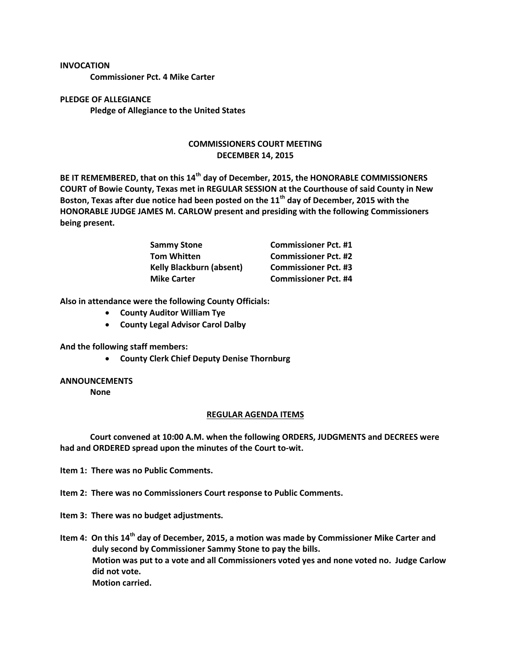## **INVOCATION**

**Commissioner Pct. 4 Mike Carter**

**PLEDGE OF ALLEGIANCE Pledge of Allegiance to the United States**

## **COMMISSIONERS COURT MEETING DECEMBER 14, 2015**

**BE IT REMEMBERED, that on this 14th day of December, 2015, the HONORABLE COMMISSIONERS COURT of Bowie County, Texas met in REGULAR SESSION at the Courthouse of said County in New Boston, Texas after due notice had been posted on the 11th day of December, 2015 with the HONORABLE JUDGE JAMES M. CARLOW present and presiding with the following Commissioners being present.**

| <b>Sammy Stone</b>              | <b>Commissioner Pct. #1</b> |
|---------------------------------|-----------------------------|
| <b>Tom Whitten</b>              | <b>Commissioner Pct. #2</b> |
| <b>Kelly Blackburn (absent)</b> | <b>Commissioner Pct. #3</b> |
| <b>Mike Carter</b>              | <b>Commissioner Pct. #4</b> |

**Also in attendance were the following County Officials:**

- **County Auditor William Tye**
- **County Legal Advisor Carol Dalby**

**And the following staff members:**

**County Clerk Chief Deputy Denise Thornburg**

## **ANNOUNCEMENTS**

**None**

## **REGULAR AGENDA ITEMS**

**Court convened at 10:00 A.M. when the following ORDERS, JUDGMENTS and DECREES were had and ORDERED spread upon the minutes of the Court to-wit.**

**Item 1: There was no Public Comments.**

**Item 2: There was no Commissioners Court response to Public Comments.**

**Item 3: There was no budget adjustments.**

**Item 4: On this 14th day of December, 2015, a motion was made by Commissioner Mike Carter and duly second by Commissioner Sammy Stone to pay the bills. Motion was put to a vote and all Commissioners voted yes and none voted no. Judge Carlow did not vote. Motion carried.**